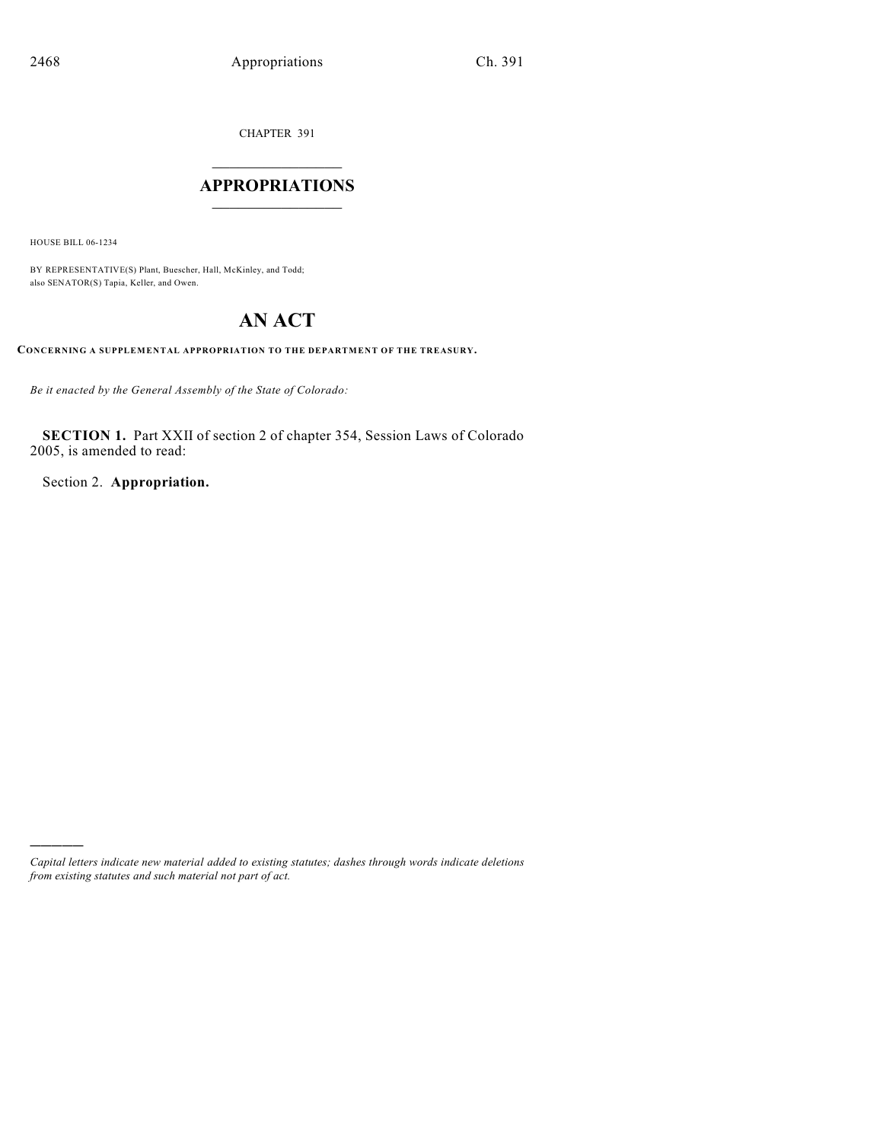CHAPTER 391

## $\overline{\phantom{a}}$  . The set of the set of the set of the set of the set of the set of the set of the set of the set of the set of the set of the set of the set of the set of the set of the set of the set of the set of the set o **APPROPRIATIONS**  $\_$   $\_$   $\_$   $\_$   $\_$   $\_$   $\_$   $\_$

HOUSE BILL 06-1234

)))))

BY REPRESENTATIVE(S) Plant, Buescher, Hall, McKinley, and Todd; also SENATOR(S) Tapia, Keller, and Owen.

# **AN ACT**

**CONCERNING A SUPPLEMENTAL APPROPRIATION TO THE DEPARTMENT OF THE TREASURY.**

*Be it enacted by the General Assembly of the State of Colorado:*

**SECTION 1.** Part XXII of section 2 of chapter 354, Session Laws of Colorado 2005, is amended to read:

Section 2. **Appropriation.**

*Capital letters indicate new material added to existing statutes; dashes through words indicate deletions from existing statutes and such material not part of act.*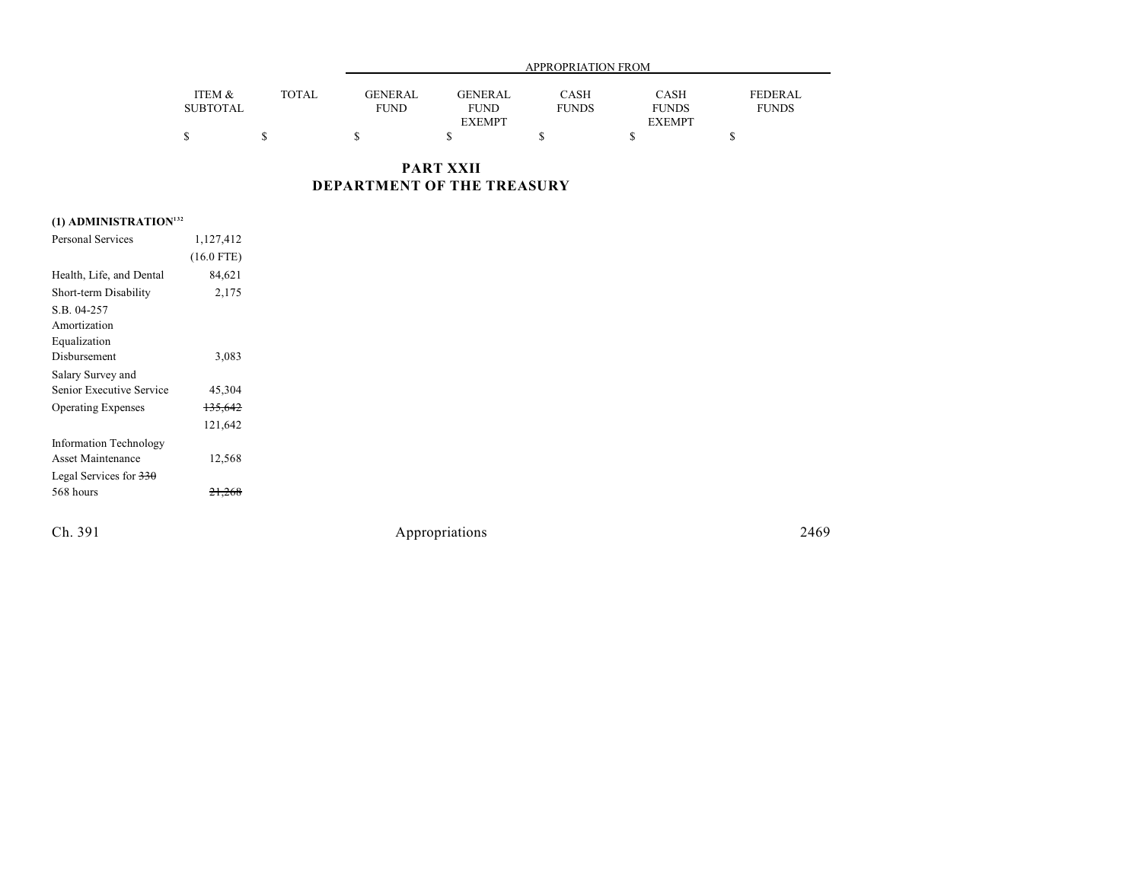|                 |        | APPROPRIATION FROM             |                |              |              |              |  |  |
|-----------------|--------|--------------------------------|----------------|--------------|--------------|--------------|--|--|
|                 |        |                                |                |              |              |              |  |  |
| ITEM &          | TOTAL. | <b>GENERAL</b>                 | <b>GENERAL</b> | CASH         | CASH         | FEDERAL      |  |  |
| <b>SUBTOTAL</b> |        | FUND                           | <b>FUND</b>    | <b>FUNDS</b> | <b>FUNDS</b> | <b>FUNDS</b> |  |  |
|                 |        | <b>EXEMPT</b><br><b>EXEMPT</b> |                |              |              |              |  |  |
|                 |        |                                |                |              |              |              |  |  |

**PART XXII DEPARTMENT OF THE TREASURY**

## **(1) ADMINISTRATION<sup>132</sup>**

| Personal Services                   | 1,127,412          |  |
|-------------------------------------|--------------------|--|
|                                     | $(16.0$ FTE)       |  |
| Health, Life, and Dental            | 84,621             |  |
| Short-term Disability               | 2,175              |  |
| S.B. 04-257                         |                    |  |
| Amortization                        |                    |  |
| Equalization                        |                    |  |
| Disbursement                        | 3,083              |  |
| Salary Survey and                   |                    |  |
| Senior Executive Service            | 45,304             |  |
| <b>Operating Expenses</b>           | <del>135,642</del> |  |
|                                     | 121,642            |  |
| <b>Information Technology</b>       |                    |  |
| Asset Maintenance                   | 12,568             |  |
| Legal Services for $\frac{330}{20}$ |                    |  |
| 568 hours                           |                    |  |
|                                     |                    |  |

Ch. 391 Appropriations 2469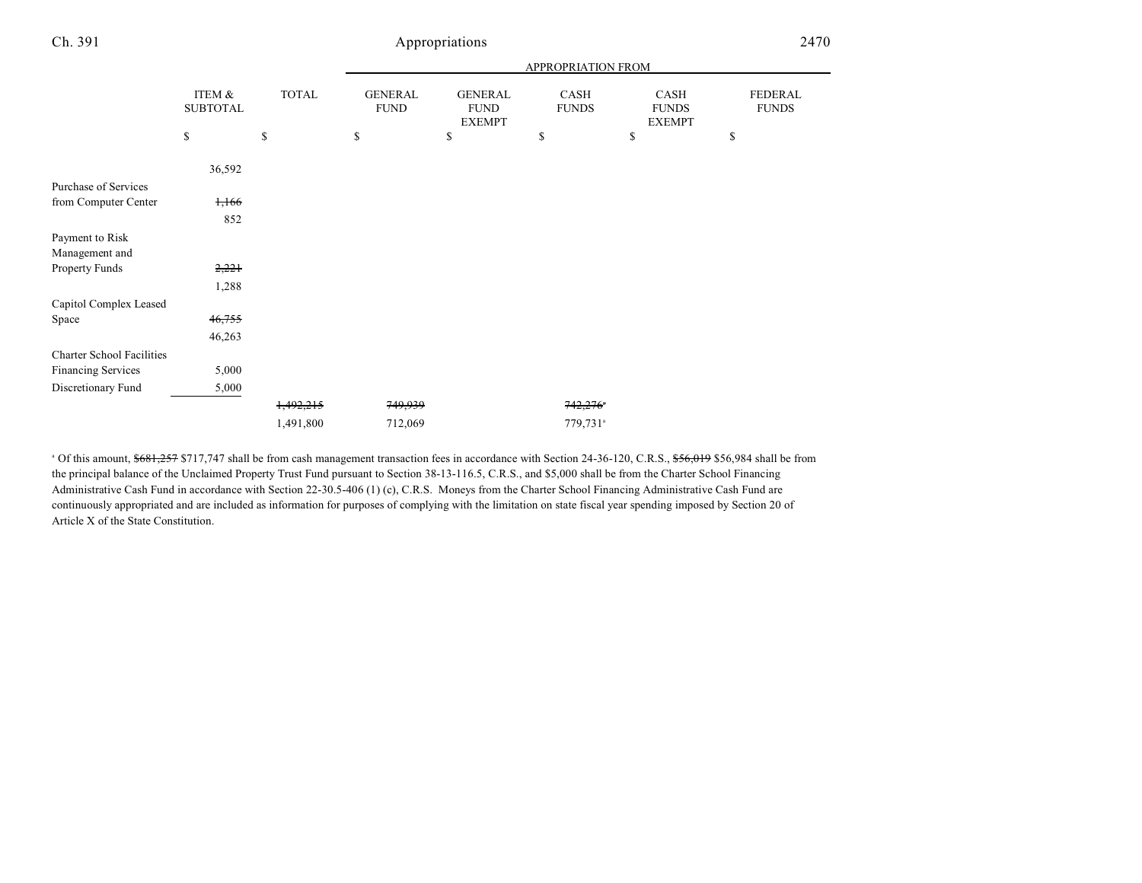### Ch. 391 Appropriations 2470

|                                  |                           |              |                               |                                                | APPROPRIATION FROM   |                                              |                         |
|----------------------------------|---------------------------|--------------|-------------------------------|------------------------------------------------|----------------------|----------------------------------------------|-------------------------|
|                                  | ITEM &<br><b>SUBTOTAL</b> | <b>TOTAL</b> | <b>GENERAL</b><br><b>FUND</b> | <b>GENERAL</b><br><b>FUND</b><br><b>EXEMPT</b> | CASH<br><b>FUNDS</b> | <b>CASH</b><br><b>FUNDS</b><br><b>EXEMPT</b> | FEDERAL<br><b>FUNDS</b> |
|                                  | \$                        | \$           | \$                            | \$                                             | \$                   | \$                                           | \$                      |
|                                  | 36,592                    |              |                               |                                                |                      |                                              |                         |
| Purchase of Services             |                           |              |                               |                                                |                      |                                              |                         |
| from Computer Center             | 1,166                     |              |                               |                                                |                      |                                              |                         |
|                                  | 852                       |              |                               |                                                |                      |                                              |                         |
| Payment to Risk                  |                           |              |                               |                                                |                      |                                              |                         |
| Management and                   |                           |              |                               |                                                |                      |                                              |                         |
| Property Funds                   | 2,221                     |              |                               |                                                |                      |                                              |                         |
|                                  | 1,288                     |              |                               |                                                |                      |                                              |                         |
| Capitol Complex Leased           |                           |              |                               |                                                |                      |                                              |                         |
| Space                            | 46,755                    |              |                               |                                                |                      |                                              |                         |
|                                  | 46,263                    |              |                               |                                                |                      |                                              |                         |
| <b>Charter School Facilities</b> |                           |              |                               |                                                |                      |                                              |                         |
| <b>Financing Services</b>        | 5,000                     |              |                               |                                                |                      |                                              |                         |
| Discretionary Fund               | 5,000                     |              |                               |                                                |                      |                                              |                         |
|                                  |                           | 1,492,215    | 749,939                       |                                                | 742,276              |                                              |                         |
|                                  |                           | 1,491,800    | 712,069                       |                                                | 779,731 <sup>a</sup> |                                              |                         |
|                                  |                           |              |                               |                                                |                      |                                              |                         |

<sup>a</sup> Of this amount, \$681,257 \$717,747 shall be from cash management transaction fees in accordance with Section 24-36-120, C.R.S., \$56,019 \$56,984 shall be from the principal balance of the Unclaimed Property Trust Fund pursuant to Section 38-13-116.5, C.R.S., and \$5,000 shall be from the Charter School Financing Administrative Cash Fund in accordance with Section 22-30.5-406 (1) (c), C.R.S. Moneys from the Charter School Financing Administrative Cash Fund are continuously appropriated and are included as information for purposes of complying with the limitation on state fiscal year spending imposed by Section 20 of Article X of the State Constitution.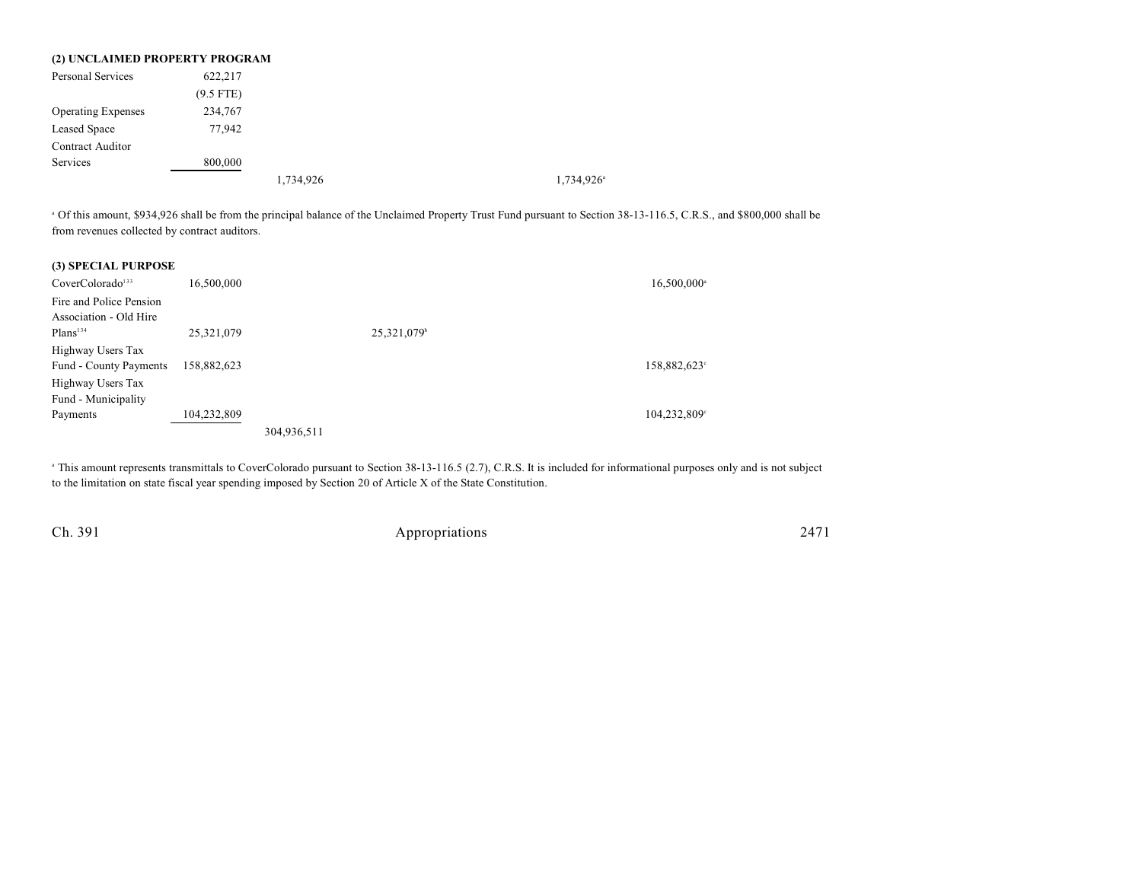|                           | (2) UNCLAIMED PROPERTY PROGRAM |           |                          |
|---------------------------|--------------------------------|-----------|--------------------------|
| <b>Personal Services</b>  | 622,217                        |           |                          |
|                           | $(9.5$ FTE)                    |           |                          |
| <b>Operating Expenses</b> | 234,767                        |           |                          |
| Leased Space              | 77,942                         |           |                          |
| <b>Contract Auditor</b>   |                                |           |                          |
| Services                  | 800,000                        |           |                          |
|                           |                                | 1,734,926 | $1,734,926$ <sup>a</sup> |

<sup>a</sup> Of this amount, \$934,926 shall be from the principal balance of the Unclaimed Property Trust Fund pursuant to Section 38-13-116.5, C.R.S., and \$800,000 shall be from revenues collected by contract auditors.

| (3) SPECIAL PURPOSE          |             |             |            |             |
|------------------------------|-------------|-------------|------------|-------------|
| CoverColorado <sup>133</sup> | 16,500,000  |             |            | 16,500,000  |
| Fire and Police Pension      |             |             |            |             |
| Association - Old Hire       |             |             |            |             |
| Plans <sup>134</sup>         | 25,321,079  |             | 25,321,079 |             |
| Highway Users Tax            |             |             |            |             |
| Fund - County Payments       | 158,882,623 |             |            | 158,882,623 |
| Highway Users Tax            |             |             |            |             |
| Fund - Municipality          |             |             |            |             |
| Payments                     | 104,232,809 |             |            | 104,232,809 |
|                              |             | 304,936,511 |            |             |

<sup>a</sup> This amount represents transmittals to CoverColorado pursuant to Section 38-13-116.5 (2.7), C.R.S. It is included for informational purposes only and is not subject to the limitation on state fiscal year spending imposed by Section 20 of Article X of the State Constitution.

Ch. 391 Appropriations 2471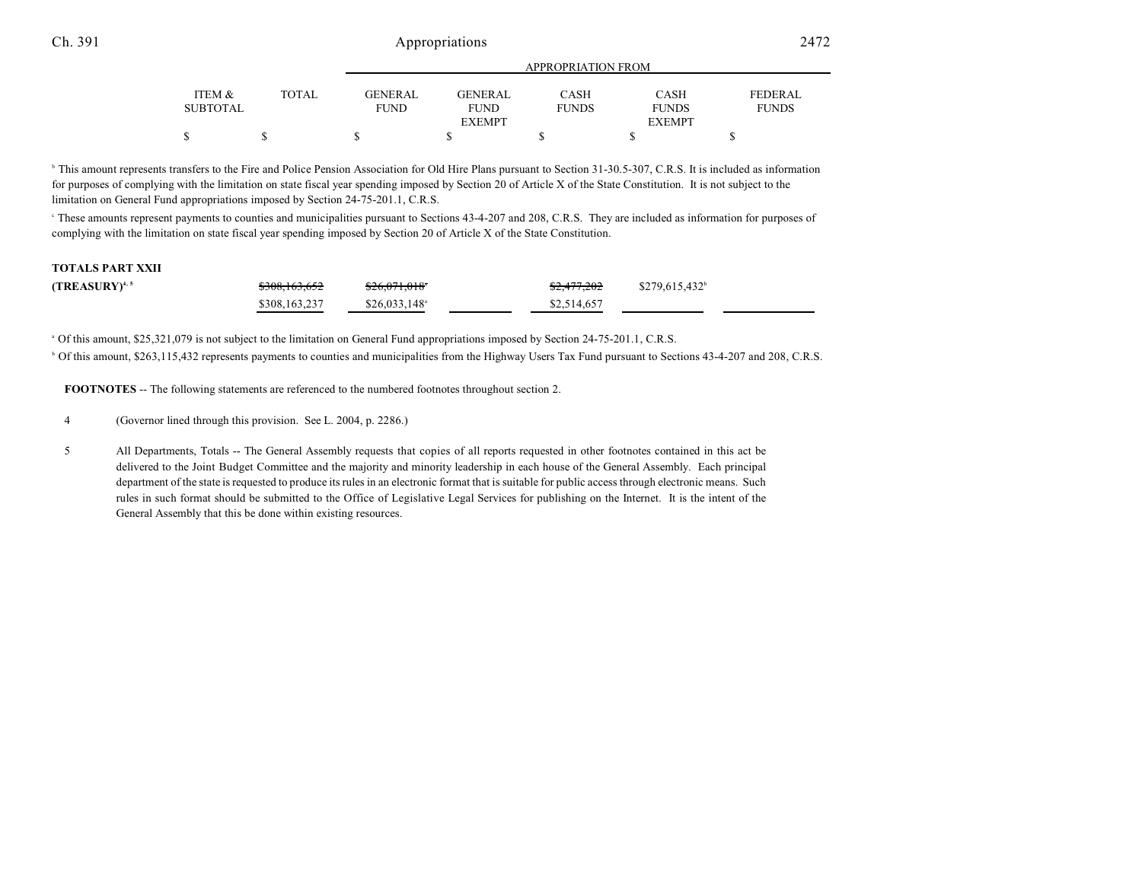#### Ch. 391 Appropriations 2472

|                 |       | <b>APPROPRIATION FROM</b> |               |              |               |                |  |
|-----------------|-------|---------------------------|---------------|--------------|---------------|----------------|--|
|                 |       |                           |               |              |               |                |  |
| ITEM &          | TOTAL | GENERAL                   | GENERAL       | CASH         | <b>CASH</b>   | <b>FEDERAL</b> |  |
| <b>SUBTOTAL</b> |       | <b>FUND</b>               | <b>FUND</b>   | <b>FUNDS</b> | <b>FUNDS</b>  | <b>FUNDS</b>   |  |
|                 |       |                           | <b>EXEMPT</b> |              | <b>EXEMPT</b> |                |  |
| \$              |       |                           |               |              |               |                |  |

<sup>b</sup> This amount represents transfers to the Fire and Police Pension Association for Old Hire Plans pursuant to Section 31-30.5-307, C.R.S. It is included as information for purposes of complying with the limitation on state fiscal year spending imposed by Section 20 of Article X of the State Constitution. It is not subject to the limitation on General Fund appropriations imposed by Section 24-75-201.1, C.R.S.

<sup>e</sup> These amounts represent payments to counties and municipalities pursuant to Sections 43-4-207 and 208, C.R.S. They are included as information for purposes of complying with the limitation on state fiscal year spending imposed by Section 20 of Article X of the State Constitution.

#### **TOTALS PART XXII**

| (TREASURY) $4,5$ | <del>\$308,163,652</del> | $$26,071,018$ <sup>*</sup> | <del>\$2,477,202</del> | $$279,615,432^{\circ}$ |
|------------------|--------------------------|----------------------------|------------------------|------------------------|
|                  | \$308,163,237            | $$26.033.148$ <sup>a</sup> | \$2,514,657            |                        |

<sup>a</sup> Of this amount, \$25,321,079 is not subject to the limitation on General Fund appropriations imposed by Section 24-75-201.1, C.R.S.

<sup>b</sup> Of this amount, \$263,115,432 represents payments to counties and municipalities from the Highway Users Tax Fund pursuant to Sections 43-4-207 and 208, C.R.S.

**FOOTNOTES** -- The following statements are referenced to the numbered footnotes throughout section 2.

4 (Governor lined through this provision. See L. 2004, p. 2286.)

5 All Departments, Totals -- The General Assembly requests that copies of all reports requested in other footnotes contained in this act be delivered to the Joint Budget Committee and the majority and minority leadership in each house of the General Assembly. Each principal department of the state is requested to produce its rules in an electronic format that is suitable for public access through electronic means. Such rules in such format should be submitted to the Office of Legislative Legal Services for publishing on the Internet. It is the intent of the General Assembly that this be done within existing resources.